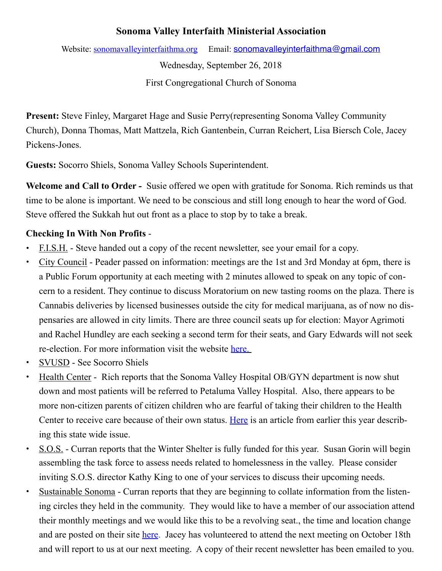## **Sonoma Valley Interfaith Ministerial Association**

Website: [sonomavalleyinterfaithma.org](http://sonomavalleyinterfaithma.org) Email: sonomavalle vinterfaithma@gmail.com

Wednesday, September 26, 2018

First Congregational Church of Sonoma

**Present:** Steve Finley, Margaret Hage and Susie Perry(representing Sonoma Valley Community Church), Donna Thomas, Matt Mattzela, Rich Gantenbein, Curran Reichert, Lisa Biersch Cole, Jacey Pickens-Jones.

**Guests:** Socorro Shiels, Sonoma Valley Schools Superintendent.

**Welcome and Call to Order -** Susie offered we open with gratitude for Sonoma. Rich reminds us that time to be alone is important. We need to be conscious and still long enough to hear the word of God. Steve offered the Sukkah hut out front as a place to stop by to take a break.

# **Checking In With Non Profits** -

- **•** F.I.S.H. Steve handed out a copy of the recent newsletter, see your email for a copy.
- **•** City Council Peader passed on information: meetings are the 1st and 3rd Monday at 6pm, there is a Public Forum opportunity at each meeting with 2 minutes allowed to speak on any topic of concern to a resident. They continue to discuss Moratorium on new tasting rooms on the plaza. There is Cannabis deliveries by licensed businesses outside the city for medical marijuana, as of now no dispensaries are allowed in city limits. There are three council seats up for election: Mayor Agrimoti and Rachel Hundley are each seeking a second term for their seats, and Gary Edwards will not seek re-election. For more information visit the website [here](https://www.sonomacity.org/agendas-minutes-videos/).
- **•** SVUSD See Socorro Shiels
- **•** Health Center Rich reports that the Sonoma Valley Hospital OB/GYN department is now shut down and most patients will be referred to Petaluma Valley Hospital. Also, there appears to be more non-citizen parents of citizen children who are fearful of taking their children to the Health Center to receive care because of their own status. [Here](http://www.calhealthreport.org/2018/02/22/welcome-health-clinics-work-allay-fears-immigrant-patients-families/) is an article from earlier this year describing this state wide issue.
- **•** S.O.S. Curran reports that the Winter Shelter is fully funded for this year. Susan Gorin will begin assembling the task force to assess needs related to homelessness in the valley. Please consider inviting S.O.S. director Kathy King to one of your services to discuss their upcoming needs.
- **•** Sustainable Sonoma Curran reports that they are beginning to collate information from the listening circles they held in the community. They would like to have a member of our association attend their monthly meetings and we would like this to be a revolving seat., the time and location change and are posted on their site [here](https://www.sustainablesonoma.net/activities/). Jacey has volunteered to attend the next meeting on October 18th and will report to us at our next meeting. A copy of their recent newsletter has been emailed to you.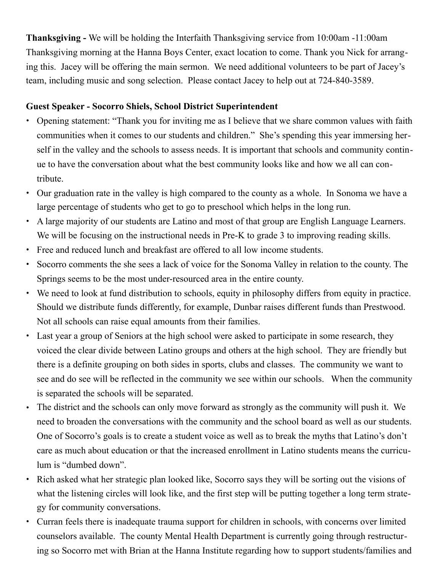**Thanksgiving -** We will be holding the Interfaith Thanksgiving service from 10:00am -11:00am Thanksgiving morning at the Hanna Boys Center, exact location to come. Thank you Nick for arranging this. Jacey will be offering the main sermon. We need additional volunteers to be part of Jacey's team, including music and song selection. Please contact Jacey to help out at 724-840-3589.

### **Guest Speaker - Socorro Shiels, School District Superintendent**

- Opening statement: "Thank you for inviting me as I believe that we share common values with faith communities when it comes to our students and children." She's spending this year immersing herself in the valley and the schools to assess needs. It is important that schools and community continue to have the conversation about what the best community looks like and how we all can contribute.
- Our graduation rate in the valley is high compared to the county as a whole. In Sonoma we have a large percentage of students who get to go to preschool which helps in the long run.
- A large majority of our students are Latino and most of that group are English Language Learners. We will be focusing on the instructional needs in Pre-K to grade 3 to improving reading skills.
- Free and reduced lunch and breakfast are offered to all low income students.
- Socorro comments the she sees a lack of voice for the Sonoma Valley in relation to the county. The Springs seems to be the most under-resourced area in the entire county.
- We need to look at fund distribution to schools, equity in philosophy differs from equity in practice. Should we distribute funds differently, for example, Dunbar raises different funds than Prestwood. Not all schools can raise equal amounts from their families.
- Last year a group of Seniors at the high school were asked to participate in some research, they voiced the clear divide between Latino groups and others at the high school. They are friendly but there is a definite grouping on both sides in sports, clubs and classes. The community we want to see and do see will be reflected in the community we see within our schools. When the community is separated the schools will be separated.
- The district and the schools can only move forward as strongly as the community will push it. We need to broaden the conversations with the community and the school board as well as our students. One of Socorro's goals is to create a student voice as well as to break the myths that Latino's don't care as much about education or that the increased enrollment in Latino students means the curriculum is "dumbed down".
- Rich asked what her strategic plan looked like, Socorro says they will be sorting out the visions of what the listening circles will look like, and the first step will be putting together a long term strategy for community conversations.
- Curran feels there is inadequate trauma support for children in schools, with concerns over limited counselors available. The county Mental Health Department is currently going through restructuring so Socorro met with Brian at the Hanna Institute regarding how to support students/families and